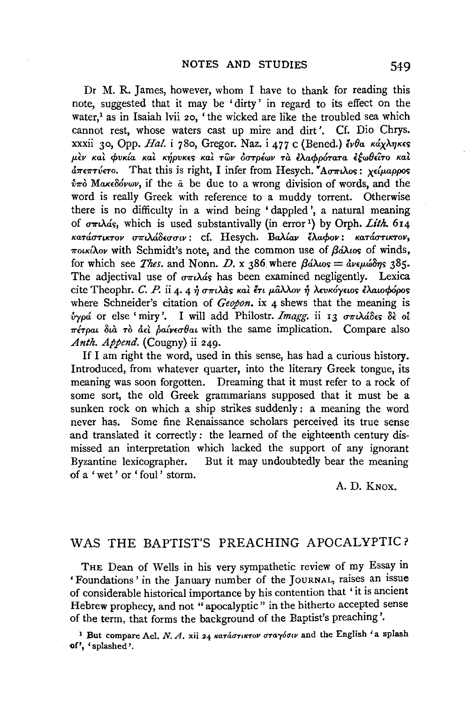Dr M. R. James, however, whom I have to thank for reading this note, suggested that it may be 'dirty' in regard to its effect on the water,<sup>1</sup> as in Isaiah lvii 20, 'the wicked are like the troubled sea which cannot rest, whose waters cast up mire and dirt'. Cf. Dio Chrys. xxxii 30, Opp. Hal. i 780, Gregor. Naz. i 477 c (Bened.) ένθα κάχληκες μέν και φυκία και κήρυκες και των δστρέων τα έλαφρότατα εξωθείτο και  $\frac{1}{4}$  $\pi \epsilon \pi \tau \nu \epsilon \tau$ o. That this is right, I infer from Hesych.  $\pi \Delta \sigma \pi \nu \lambda$ os:  $\gamma \epsilon \nu \mu \alpha \rho \rho \sigma \sigma$  $\hat{v}\pi\hat{o}$  Μακεδόνων, if the  $\bar{a}$  be due to a wrong division of words, and the word is really Greek with reference to a muddy torrent. Otherwise there is no difficulty in a wind being 'dappled', a natural meaning of  $\sigma \pi \iota \lambda$ ás, which is used substantivally (in error<sup>1</sup>) by Orph. Lith. 614 κατάστικτον σπιλάδεσσιν: cf. Hesych. Βαλίαν έλαφον: κατάστικτον, ποικίλον with Schmidt's note, and the common use of βάλιος of winds. for which see Thes. and Nonn. D. x 386 where  $\beta d\lambda \omega s = d\nu \epsilon \mu \omega \delta \eta s$  385. The adjectival use of  $\sigma \pi \lambda \phi$  has been examined negligently. Lexica cite Theophr. C. P. ii 4. 4 ή σπιλάς και έτι μάλλον ή λευκόγειος ελαιοφόρος where Schneider's citation of *Geopon*, ix 4 shews that the meaning is ύγρά or else 'miry'. I will add Philostr. Imagg. ii 13 σπιλάδες δε οί πέτραι διά τὸ ἀελ ραίνεσθαι with the same implication. Compare also Anth. Append. (Cougny) ii 249.

If I am right the word, used in this sense, has had a curious history. Introduced, from whatever quarter, into the literary Greek tongue, its meaning was soon forgotten. Dreaming that it must refer to a rock of some sort, the old Greek grammarians supposed that it must be a sunken rock on which a ship strikes suddenly: a meaning the word never has. Some fine Renaissance scholars perceived its true sense and translated it correctly: the learned of the eighteenth century dismissed an interpretation which lacked the support of any ignorant Byzantine lexicographer. But it may undoubtedly bear the meaning of a 'wet' or 'foul' storm.

A. D. KNOX.

## WAS THE BAPTIST'S PREACHING APOCALYPTIC?

THE Dean of Wells in his very sympathetic review of my Essay in 'Foundations' in the January number of the JOURNAL, raises an issue of considerable historical importance by his contention that 'it is ancient Hebrew prophecy, and not "apocalyptic" in the hitherto accepted sense of the term, that forms the background of the Baptist's preaching'.

<sup>1</sup> But compare Ael. N. A. xii 24 κατάστικτον σταγόσιν and the English 'a splash of', 'splashed'.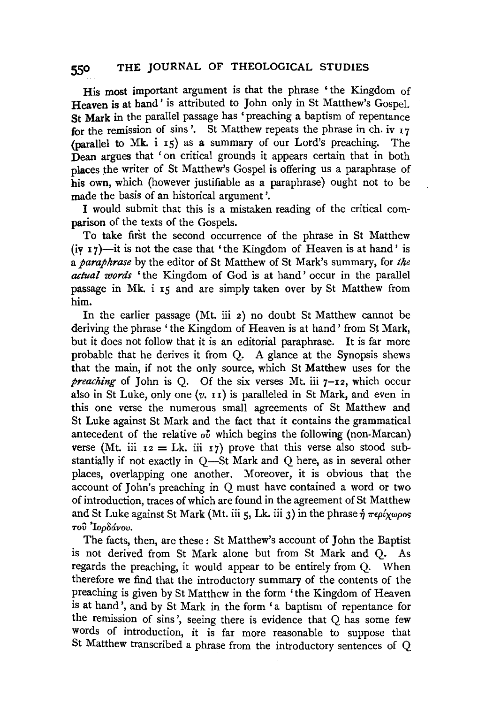His most important argument is that the phrase ' the Kingdom of Heaven is at hand' is attributed to John only in St Matthew's Gospel. St Mark in the parallel passage has ' preaching a baptism of repentance for the remission of sins '. St Matthew repeats the phrase in ch. iv  $_{17}$ (parallel to Mk.  $i$   $i$   $j$ ) as a summary of our Lord's preaching. The Dean argues that ' on critical grounds it appears certain that in both places the writer of St Matthew's Gospel is offering us a paraphrase of his own, which (however justifiable as a paraphrase) ought not to be made the basis of an historical argument '.

I would submit that this is a mistaken reading of the critical comparison of the texts of the Gospels.

To take first the second occurrence of the phrase in St Matthew (iv  $17$ )—it is not the case that 'the Kingdom of Heaven is at hand' is a *paraphrase* by the editor of St Matthew of St Mark's summary, for *the actual words* ' the Kingdom of God is at hand ' occur in the parallel passage in Mk. i 15 and are simply taken over by St Matthew from him.

In the earlier passage (Mt. iii 2) no doubt St Matthew cannot be deriving the phrase 'the Kingdom of Heaven is at hand' from St Mark, but it does not follow that it is an editorial paraphrase. It is far more probable that he derives it from Q. A glance at the Synopsis shews that the main, if not the only source, which St Matthew uses for the *preaching* of John is Q. Of the six verses Mt. iii 7-12, which occur also in St Luke, only one  $(v, 11)$  is paralleled in St Mark, and even in this one verse the numerous small agreements of St Matthew and St Luke against St Mark and the fact that it contains the grammatical antecedent of the relative *oil* which begins the following (non-Marcan) verse (Mt. iii  $I_2 = Lk$ . iii 17) prove that this verse also stood substantially if not exactly in  $Q$ —St Mark and Q here, as in several other places, overlapping one another. Moreover, it is obvious that the account of John's preaching in Q must have contained a word or two of introduction, traces of which are found in the agreement of St Matthew and St Luke against St Mark (Mt. iii 5, Lk. iii 3) in the phrase  $\hat{\eta}$   $\pi \epsilon \rho \hat{i} \gamma \omega \rho \rho s$ *Tov 'Iop8avov.* 

The facts, then, are these : St Matthew's account of John the Baptist is not derived from St Mark alone but from St Mark and Q. As regards the preaching, it would appear to be entirely from Q. When therefore we find that the introductory summary of the contents of the preaching is given by St Matthew in the form 'the Kingdom of Heaven is at hand', and by St Mark in the form 'a baptism of repentance for the remission of sins', seeing there is evidence that Q has some few words of introduction, it is far more reasonable to suppose that St Matthew transcribed a phrase from the introductory sentences of Q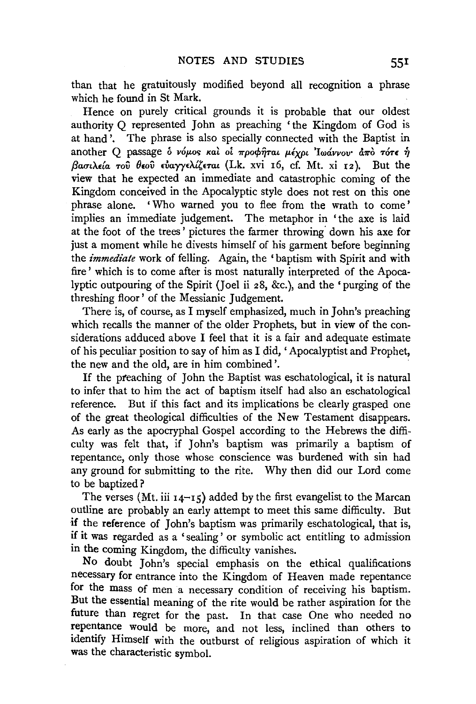than that he gratuitously modified beyond all recognition a phrase which he found in St Mark.

Hence on purely critical grounds it is probable that our oldest authority Q represented John as preaching ' the Kingdom of God is at hand'. The phrase is also specially connected with the Baptist in another O passage o *voµos kal oi προφήται μέχρι* 'Iwavvov· από τότε ή *{3auLA.e:{a Tov Oe:ov e:flayye:AtCe:TaL* (Lk. xvi 16, cf. Mt. xi 12 ). But the view that he expected an immediate and catastrophic coming of the Kingdom conceived in the Apocalyptic style does not rest on this one phrase alone. ' Who warned you to flee from the wrath to come ' implies an immediate judgement. The metaphor in 'the axe is laid at the foot of the trees ' pictures the farmer throwing. down his axe for just a moment while he divests himself of his garment before beginning the *immediate* work of felling. Again, the 'baptism with Spirit and with fire' which is to come after is most naturally interpreted of the Apocalyptic outpouring of the Spirit (Joel ii  $28$ , &c.), and the 'purging of the threshing floor' of the Messianic Judgement.

There is, of course, as I myself emphasized, much in John's preaching which recalls the manner of the older Prophets, but in view of the considerations adduced above I feel that it is a fair and adequate estimate of his peculiar position to say of him as I did, 'Apocalyptist and Prophet, the new and the old, are in him combined'.

If the preaching of John the Baptist was eschatological, it is natural to infer that to him the act of baptism itself had also an eschatological reference. But if this fact and its implications be clearly grasped one of the great theological difficulties of the New Testament disappears. As early as the apocryphal Gospel according to the Hebrews the difficulty was felt that, if John's baptism was primarily a baptism of repentance, only those whose conscience was burdened with sin had any ground for submitting to the rite. Why then did our Lord come to be baptized ?

The verses (Mt. iii  $14-i5$ ) added by the first evangelist to the Marcan outline are probably an early attempt to meet this same difficulty. But if the reference of John's baptism was primarily eschatological, that is, if it was regarded as a 'sealing' or symbolic act entitling to admission in the coming Kingdom, the difficulty vanishes.

No doubt John's special emphasis on the ethical qualifications necessary for entrance into the Kingdom of Heaven made repentance for the mass of men a necessary condition of receiving his baptism. But the essential meaning of the rite would be rather aspiration for the future than regret for the past. In that case One who needed no repentance would be more, and not less, inclined than others to identify Himself with the outburst of religious aspiration of which it was the characteristic symbol.